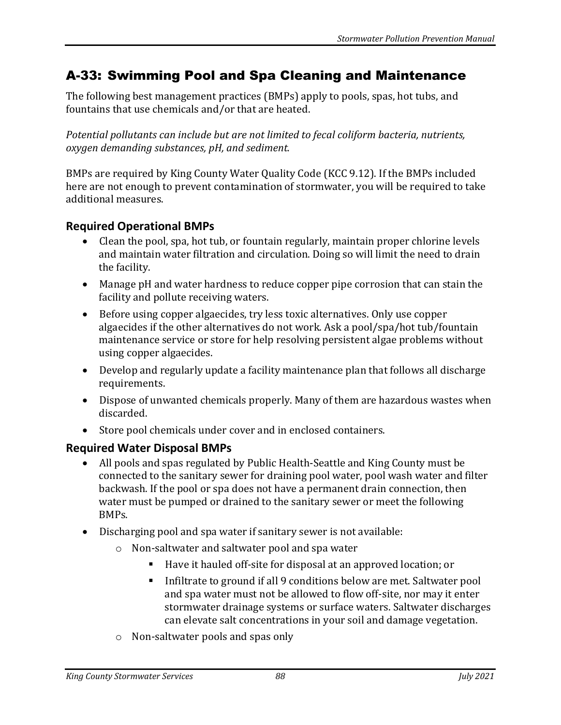## A-33: Swimming Pool and Spa Cleaning and Maintenance

The following best management practices (BMPs) apply to pools, spas, hot tubs, and fountains that use chemicals and/or that are heated.

*Potential pollutants can include but are not limited to fecal coliform bacteria, nutrients, oxygen demanding substances, pH, and sediment.*

BMPs are required by King County Water Quality Code (KCC 9.12). If the BMPs included here are not enough to prevent contamination of stormwater, you will be required to take additional measures.

## **Required Operational BMPs**

- Clean the pool, spa, hot tub, or fountain regularly, maintain proper chlorine levels and maintain water filtration and circulation. Doing so will limit the need to drain the facility.
- Manage pH and water hardness to reduce copper pipe corrosion that can stain the facility and pollute receiving waters.
- Before using copper algaecides, try less toxic alternatives. Only use copper algaecides if the other alternatives do not work. Ask a pool/spa/hot tub/fountain maintenance service or store for help resolving persistent algae problems without using copper algaecides.
- Develop and regularly update a facility maintenance plan that follows all discharge requirements.
- Dispose of unwanted chemicals properly. Many of them are hazardous wastes when discarded.
- Store pool chemicals under cover and in enclosed containers.

## **Required Water Disposal BMPs**

- All pools and spas regulated by Public Health-Seattle and King County must be connected to the sanitary sewer for draining pool water, pool wash water and filter backwash. If the pool or spa does not have a permanent drain connection, then water must be pumped or drained to the sanitary sewer or meet the following BMPs.
- Discharging pool and spa water if sanitary sewer is not available:
	- o Non-saltwater and saltwater pool and spa water
		- Have it hauled off-site for disposal at an approved location; or
		- Infiltrate to ground if all 9 conditions below are met. Saltwater pool and spa water must not be allowed to flow off-site, nor may it enter stormwater drainage systems or surface waters. Saltwater discharges can elevate salt concentrations in your soil and damage vegetation.
	- o Non-saltwater pools and spas only